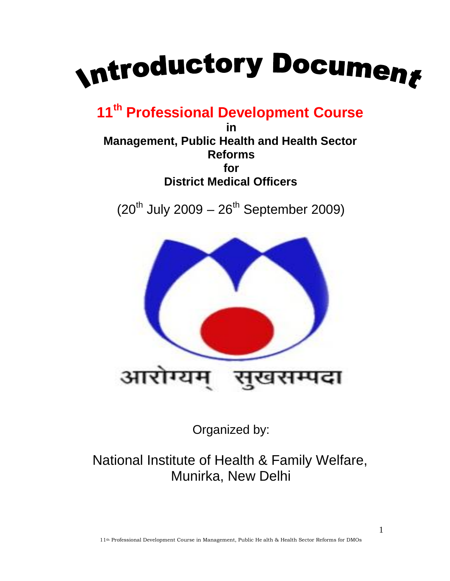

**11th Professional Development Course**

**in Management, Public Health and Health Sector Reforms for District Medical Officers**

 $(20^{th}$  July 2009 –  $26^{th}$  September 2009)



Organized by:

National Institute of Health & Family Welfare, Munirka, New Delhi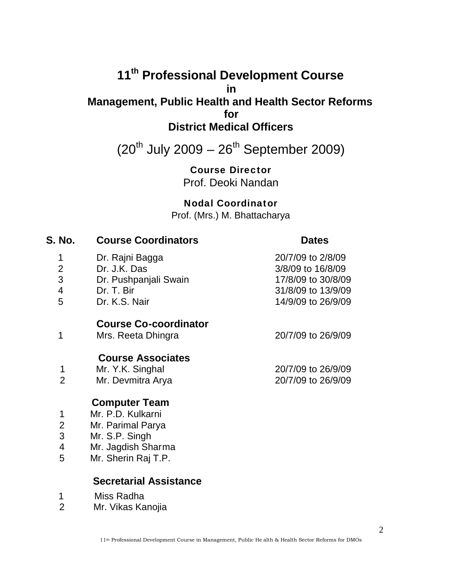# **11 th Professional Development Course in Management, Public Health and Health Sector Reforms for District Medical Officers**

 $(20^{th}$  July 2009 –  $26^{th}$  September 2009)

**Course Director** Prof. Deoki Nandan

**Nodal Coordinator**

Prof. (Mrs.) M. Bhattacharya

| S. No.                   | <b>Course Coordinators</b>   | <b>Dates</b>       |
|--------------------------|------------------------------|--------------------|
| 1                        | Dr. Rajni Bagga              | 20/7/09 to 2/8/09  |
| $\overline{2}$           | Dr. J.K. Das                 | 3/8/09 to 16/8/09  |
| 3                        | Dr. Pushpanjali Swain        | 17/8/09 to 30/8/09 |
| $\overline{\mathcal{A}}$ | Dr. T. Bir                   | 31/8/09 to 13/9/09 |
| 5                        | Dr. K.S. Nair                | 14/9/09 to 26/9/09 |
|                          | <b>Course Co-coordinator</b> |                    |
| 1                        | Mrs. Reeta Dhingra           | 20/7/09 to 26/9/09 |
|                          | <b>Course Associates</b>     |                    |
| 1                        | Mr. Y.K. Singhal             | 20/7/09 to 26/9/09 |
| $\overline{2}$           | Mr. Devmitra Arya            | 20/7/09 to 26/9/09 |
|                          | <b>Computer Team</b>         |                    |
| 1                        | Mr. P.D. Kulkarni            |                    |
| $\overline{2}$           | Mr. Parimal Parya            |                    |
| 3                        | Mr. S.P. Singh               |                    |
| 4                        | Mr. Jagdish Sharma           |                    |
| 5                        | Mr. Sherin Raj T.P.          |                    |
|                          |                              |                    |

# **Secretarial Assistance**

1 Miss Radha<br>2 Mr. Vikas Ka

Mr. Vikas Kanojia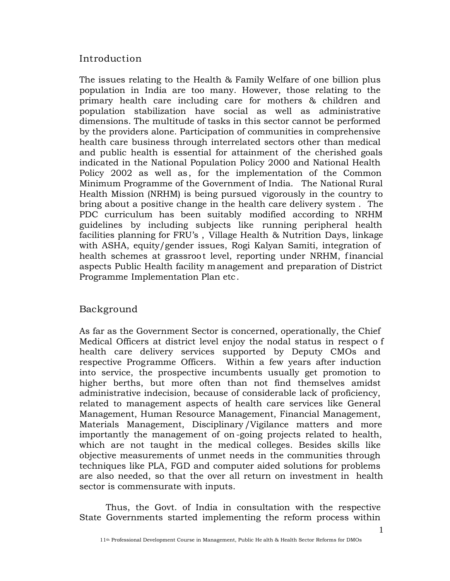# Introduction

The issues relating to the Health & Family Welfare of one billion plus population in India are too many. However, those relating to the primary health care including care for mothers & children and population stabilization have social as well as administrative dimensions. The multitude of tasks in this sector cannot be performed by the providers alone. Participation of communities in comprehensive health care business through interrelated sectors other than medical and public health is essential for attainment of the cherished goals indicated in the National Population Policy 2000 and National Health Policy 2002 as well as, for the implementation of the Common Minimum Programme of the Government of India. The National Rural Health Mission (NRHM) is being pursued vigorously in the country to bring about a positive change in the health care delivery system . The PDC curriculum has been suitably modified according to NRHM guidelines by including subjects like running peripheral health facilities planning for FRU's , Village Health & Nutrition Days, linkage with ASHA, equity/gender issues, Rogi Kalyan Samiti, integration of health schemes at grassroot level, reporting under NRHM, financial aspects Public Health facility management and preparation of District Programme Implementation Plan etc.

### Background

As far as the Government Sector is concerned, operationally, the Chief Medical Officers at district level enjoy the nodal status in respect o f health care delivery services supported by Deputy CMOs and respective Programme Officers. Within a few years after induction into service, the prospective incumbents usually get promotion to higher berths, but more often than not find themselves amidst administrative indecision, because of considerable lack of proficiency, related to management aspects of health care services like General Management, Human Resource Management, Financial Management, Materials Management, Disciplinary /Vigilance matters and more importantly the management of on -going projects related to health, which are not taught in the medical colleges. Besides skills like objective measurements of unmet needs in the communities through techniques like PLA, FGD and computer aided solutions for problems are also needed, so that the over all return on investment in health sector is commensurate with inputs.

Thus, the Govt. of India in consultation with the respective State Governments started implementing the reform process within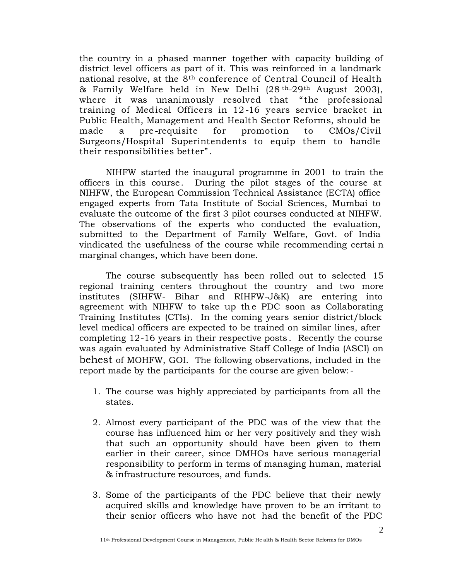the country in a phased manner together with capacity building of district level officers as part of it. This was reinforced in a landmark national resolve, at the 8th conference of Central Council of Health & Family Welfare held in New Delhi (28 th-29th August 2003), where it was unanimously resolved that "the professional training of Medical Officers in 12-16 years service bracket in Public Health, Management and Health Sector Reforms, should be made a pre -requisite for promotion to CMOs/Civil Surgeons/Hospital Superintendents to equip them to handle their responsibilities better" .

NIHFW started the inaugural programme in 2001 to train the officers in this course. During the pilot stages of the course at NIHFW, the European Commission Technical Assistance (ECTA) office engaged experts from Tata Institute of Social Sciences, Mumbai to evaluate the outcome of the first 3 pilot courses conducted at NIHFW. The observations of the experts who conducted the evaluation, submitted to the Department of Family Welfare, Govt. of India vindicated the usefulness of the course while recommending certai n marginal changes, which have been done.

The course subsequently has been rolled out to selected 15 regional training centers throughout the country and two more institutes (SIHFW- Bihar and RIHFW-J&K) are entering into agreement with NIHFW to take up th e PDC soon as Collaborating Training Institutes (CTIs). In the coming years senior district/block level medical officers are expected to be trained on similar lines, after completing 12-16 years in their respective posts . Recently the course was again evaluated by Administrative Staff College of India (ASCI) on behest of MOHFW, GOI. The following observations, included in the report made by the participants for the course are given below:-

- 1. The course was highly appreciated by participants from all the states.
- 2. Almost every participant of the PDC was of the view that the course has influenced him or her very positively and they wish that such an opportunity should have been given to them earlier in their career, since DMHOs have serious managerial responsibility to perform in terms of managing human, material & infrastructure resources, and funds.
- 3. Some of the participants of the PDC believe that their newly acquired skills and knowledge have proven to be an irritant to their senior officers who have not had the benefit of the PDC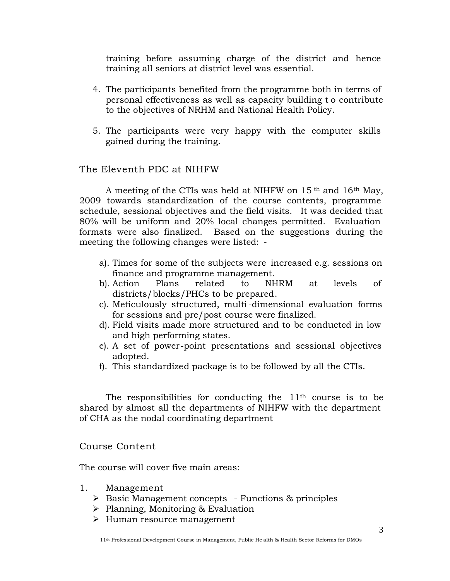training before assuming charge of the district and hence training all seniors at district level was essential.

- 4. The participants benefited from the programme both in terms of personal effectiveness as well as capacity building t o contribute to the objectives of NRHM and National Health Policy.
- 5. The participants were very happy with the computer skills gained during the training.

### The Eleventh PDC at NIHFW

A meeting of the CTIs was held at NIHFW on 15 th and 16th May, 2009 towards standardization of the course contents, programme schedule, sessional objectives and the field visits. It was decided that 80% will be uniform and 20% local changes permitted. Evaluation formats were also finalized. Based on the suggestions during the meeting the following changes were listed: -

- a). Times for some of the subjects were increased e.g. sessions on finance and programme management.
- b). Action Plans related to NHRM at levels of districts/blocks/PHCs to be prepared.
- c). Meticulously structured, multi-dimensional evaluation forms for sessions and pre/post course were finalized.
- d). Field visits made more structured and to be conducted in low and high performing states.
- e). A set of power-point presentations and sessional objectives adopted.
- f). This standardized package is to be followed by all the CTIs.

The responsibilities for conducting the  $11<sup>th</sup>$  course is to be shared by almost all the departments of NIHFW with the department of CHA as the nodal coordinating department

#### Course Content

The course will cover five main areas:

- 1. Management
	- $\triangleright$  Basic Management concepts Functions & principles
	- Planning, Monitoring & Evaluation
	- > Human resource management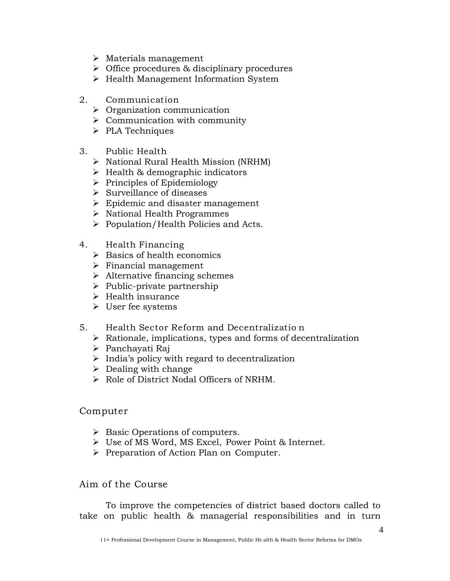- $\triangleright$  Materials management
- Office procedures & disciplinary procedures
- $\triangleright$  Health Management Information System
- 2. Communication
	- $\triangleright$  Organization communication
	- $\triangleright$  Communication with community
	- $\triangleright$  PLA Techniques
- 3. Public Health
	- $\triangleright$  National Rural Health Mission (NRHM)
	- $\triangleright$  Health & demographic indicators
	- $\triangleright$  Principles of Epidemiology
	- $\triangleright$  Surveillance of diseases
	- $\triangleright$  Epidemic and disaster management
	- $\triangleright$  National Health Programmes
	- $\triangleright$  Population/Health Policies and Acts.
- 4. Health Financing
	- $\triangleright$  Basics of health economics
	- $\triangleright$  Financial management
	- $\triangleright$  Alternative financing schemes
	- $\triangleright$  Public-private partnership
	- $\triangleright$  Health insurance
	- User fee systems
- 5. Health Sector Reform and Decentralizatio n
	- $\triangleright$  Rationale, implications, types and forms of decentralization
	- Panchayati Raj
	- $\triangleright$  India's policy with regard to decentralization
	- $\triangleright$  Dealing with change
	- $\triangleright$  Role of District Nodal Officers of NRHM.

### Computer

- $\triangleright$  Basic Operations of computers.
- Use of MS Word, MS Excel, Power Point & Internet.
- Preparation of Action Plan on Computer.

# Aim of the Course

To improve the competencies of district based doctors called to take on public health & managerial responsibilities and in turn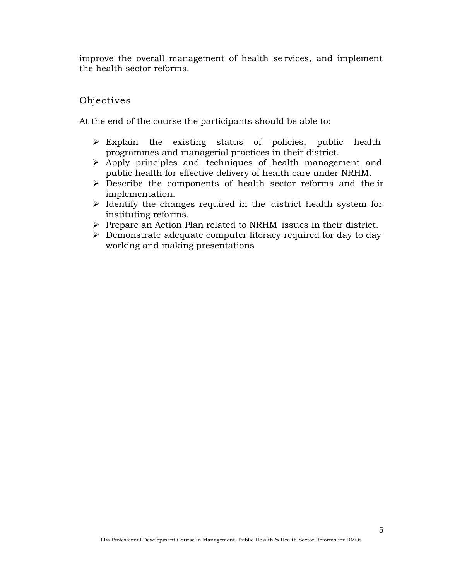improve the overall management of health se rvices, and implement the health sector reforms.

# Objectives

At the end of the course the participants should be able to:

- $\triangleright$  Explain the existing status of policies, public health programmes and managerial practices in their district.
- Apply principles and techniques of health management and public health for effective delivery of health care under NRHM.
- $\triangleright$  Describe the components of health sector reforms and the ir implementation.
- $\triangleright$  Identify the changes required in the district health system for instituting reforms.
- $\triangleright$  Prepare an Action Plan related to NRHM issues in their district.
- $\triangleright$  Demonstrate adequate computer literacy required for day to day working and making presentations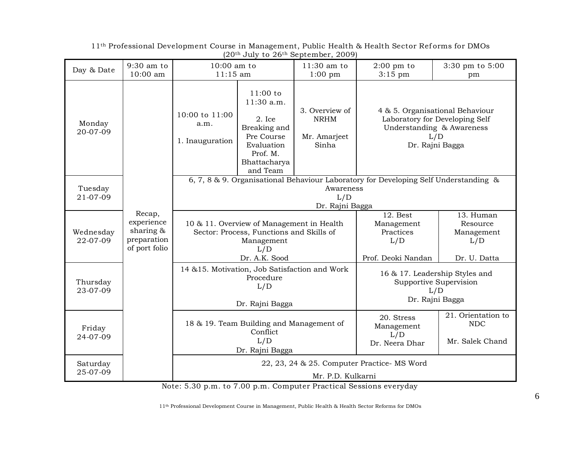| Day & Date            | 9:30 am to<br>10:00 am                                            | $10:00$ am to<br>$11:15$ am                                                    |                                                                                                                             | 11:30 am to<br>$1:00$ pm                               | $2:00$ pm to<br>$3:15$ pm                                                            | 3:30 pm to 5:00<br>pm                                                                                                    |
|-----------------------|-------------------------------------------------------------------|--------------------------------------------------------------------------------|-----------------------------------------------------------------------------------------------------------------------------|--------------------------------------------------------|--------------------------------------------------------------------------------------|--------------------------------------------------------------------------------------------------------------------------|
| Monday<br>20-07-09    |                                                                   | 10:00 to 11:00<br>a.m.<br>1. Inauguration                                      | $11:00$ to<br>11:30 a.m.<br>$2.$ Ice<br>Breaking and<br>Pre Course<br>Evaluation<br>Prof. M.<br>Bhattacharya<br>and Team    | 3. Overview of<br><b>NRHM</b><br>Mr. Amarjeet<br>Sinha |                                                                                      | 4 & 5. Organisational Behaviour<br>Laboratory for Developing Self<br>Understanding & Awareness<br>L/D<br>Dr. Rajni Bagga |
| Tuesday<br>21-07-09   |                                                                   |                                                                                |                                                                                                                             | Awareness<br>L/D<br>Dr. Rajni Bagga                    | 6, 7, 8 & 9. Organisational Behaviour Laboratory for Developing Self Understanding & |                                                                                                                          |
| Wednesday<br>22-07-09 | Recap,<br>experience<br>sharing &<br>preparation<br>of port folio |                                                                                | 10 & 11. Overview of Management in Health<br>Sector: Process, Functions and Skills of<br>Management<br>L/D<br>Dr. A.K. Sood |                                                        | $12.$ Best<br>Management<br>Practices<br>L/D<br>Prof. Deoki Nandan                   | 13. Human<br>Resource<br>Management<br>L/D<br>Dr. U. Datta                                                               |
| Thursday<br>23-07-09  |                                                                   |                                                                                | 14 & 15. Motivation, Job Satisfaction and Work<br>Procedure<br>L/D<br>Dr. Rajni Bagga                                       |                                                        |                                                                                      | 16 & 17. Leadership Styles and<br>Supportive Supervision<br>L/D<br>Dr. Rajni Bagga                                       |
| Friday<br>24-07-09    |                                                                   | 18 & 19. Team Building and Management of<br>Conflict<br>L/D<br>Dr. Rajni Bagga |                                                                                                                             |                                                        | 20. Stress<br>Management<br>L/D<br>Dr. Neera Dhar                                    | 21. Orientation to<br><b>NDC</b><br>Mr. Salek Chand                                                                      |
| Saturday<br>25-07-09  |                                                                   |                                                                                | 22, 23, 24 & 25. Computer Practice- MS Word<br>Mr. P.D. Kulkarni                                                            |                                                        |                                                                                      |                                                                                                                          |

11th Professional Development Course in Management, Public Health & Health Sector Ref orms for DMOs  $(20<sup>th</sup>$  July to  $26<sup>th</sup>$  September, 2009)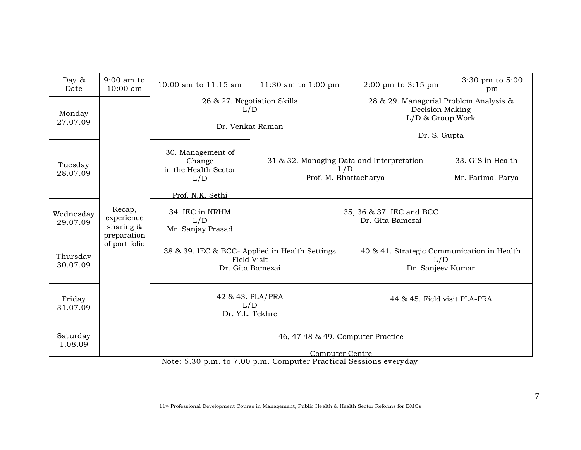| Day $\&$<br>Date      | $9:00$ am to<br>$10:00$ am                          | 10:00 am to 11:15 am                                                              | 11:30 am to 1:00 pm                                                       | $2:00 \text{ pm}$ to $3:15 \text{ pm}$                                 | 3:30 pm to 5:00<br>pm                                                                         |
|-----------------------|-----------------------------------------------------|-----------------------------------------------------------------------------------|---------------------------------------------------------------------------|------------------------------------------------------------------------|-----------------------------------------------------------------------------------------------|
| Monday<br>27.07.09    |                                                     |                                                                                   | 26 & 27. Negotiation Skills<br>L/D<br>Dr. Venkat Raman                    |                                                                        | 28 & 29. Managerial Problem Analysis &<br>Decision Making<br>L/D & Group Work<br>Dr. S. Gupta |
| Tuesday<br>28.07.09   |                                                     | 30. Management of<br>Change<br>in the Health Sector<br>L/D<br>Prof. N.K. Sethi    | 31 & 32. Managing Data and Interpretation<br>L/D<br>Prof. M. Bhattacharya |                                                                        | 33. GIS in Health<br>Mr. Parimal Parya                                                        |
| Wednesday<br>29.07.09 | Recap,<br>experience<br>sharing $\&$<br>preparation | 34. IEC in NRHM<br>L/D<br>Mr. Sanjay Prasad                                       |                                                                           | 35, 36 & 37. IEC and BCC<br>Dr. Gita Bamezai                           |                                                                                               |
| Thursday<br>30.07.09  | of port folio                                       | 38 & 39. IEC & BCC- Applied in Health Settings<br>Field Visit<br>Dr. Gita Bamezai |                                                                           | 40 & 41. Strategic Communication in Health<br>L/D<br>Dr. Sanjeev Kumar |                                                                                               |
| Friday<br>31.07.09    |                                                     | 42 & 43. PLA/PRA<br>L/D<br>Dr. Y.L. Tekhre                                        |                                                                           | 44 & 45. Field visit PLA-PRA                                           |                                                                                               |
| Saturday<br>1.08.09   |                                                     | 46, 47 48 & 49. Computer Practice<br>Computer Centre                              |                                                                           |                                                                        |                                                                                               |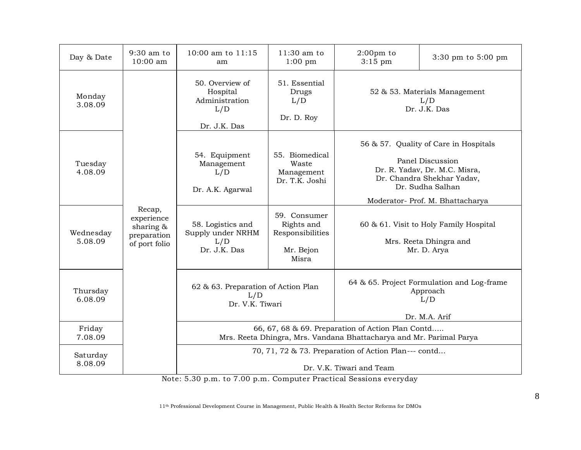| Day & Date           | 9:30 am to<br>10:00 am                                               | 10:00 am to 11:15<br>am                                                                                                  | $11:30$ am to<br>$1:00$ pm                                           | $2:00 \text{pm}$ to<br>$3:15$ pm | $3:30 \text{ pm}$ to $5:00 \text{ pm}$                                                                                                                                           |
|----------------------|----------------------------------------------------------------------|--------------------------------------------------------------------------------------------------------------------------|----------------------------------------------------------------------|----------------------------------|----------------------------------------------------------------------------------------------------------------------------------------------------------------------------------|
| Monday<br>3.08.09    |                                                                      | 50. Overview of<br>Hospital<br>Administration<br>L/D<br>Dr. J.K. Das                                                     | 51. Essential<br>Drugs<br>L/D<br>Dr. D. Roy                          |                                  | 52 & 53. Materials Management<br>L/D<br>Dr. J.K. Das                                                                                                                             |
| Tuesday<br>4.08.09   |                                                                      | 54. Equipment<br>Management<br>L/D<br>Dr. A.K. Agarwal                                                                   | 55. Biomedical<br>Waste<br>Management<br>Dr. T.K. Joshi              |                                  | 56 & 57. Quality of Care in Hospitals<br>Panel Discussion<br>Dr. R. Yadav, Dr. M.C. Misra,<br>Dr. Chandra Shekhar Yadav,<br>Dr. Sudha Salhan<br>Moderator- Prof. M. Bhattacharya |
| Wednesday<br>5.08.09 | Recap,<br>experience<br>sharing $\&$<br>preparation<br>of port folio | 58. Logistics and<br>Supply under NRHM<br>L/D<br>Dr. J.K. Das                                                            | 59. Consumer<br>Rights and<br>Responsibilities<br>Mr. Bejon<br>Misra |                                  | 60 & 61. Visit to Holy Family Hospital<br>Mrs. Reeta Dhingra and<br>Mr. D. Arya                                                                                                  |
| Thursday<br>6.08.09  |                                                                      | 62 & 63. Preparation of Action Plan<br>L/D<br>Dr. V.K. Tiwari                                                            |                                                                      |                                  | 64 & 65. Project Formulation and Log-frame<br>Approach<br>L/D<br>Dr. M.A. Arif                                                                                                   |
| Friday<br>7.08.09    |                                                                      | 66, 67, 68 & 69. Preparation of Action Plan Contd<br>Mrs. Reeta Dhingra, Mrs. Vandana Bhattacharya and Mr. Parimal Parya |                                                                      |                                  |                                                                                                                                                                                  |
| Saturday<br>8.08.09  | $\mathbf{r}$                                                         | 70, 71, 72 & 73. Preparation of Action Plan--- contd<br>Dr. V.K. Tiwari and Team<br>$\sim$ 0.0<br>$-$ 0.0                |                                                                      |                                  |                                                                                                                                                                                  |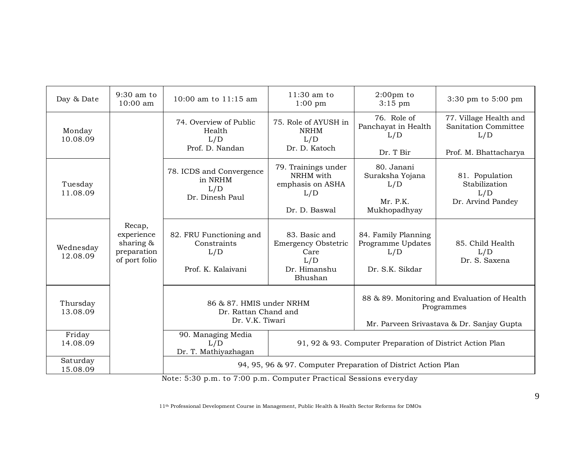| Day & Date            | 9:30 am to<br>10:00 am                                            | 10:00 am to 11:15 am                                                                                                                        | 11:30 am to<br>$1:00$ pm                                                              | $2:00 \text{pm}$ to<br>$3:15$ pm                                   | $3:30 \text{ pm}$ to $5:00 \text{ pm}$                                                                  |
|-----------------------|-------------------------------------------------------------------|---------------------------------------------------------------------------------------------------------------------------------------------|---------------------------------------------------------------------------------------|--------------------------------------------------------------------|---------------------------------------------------------------------------------------------------------|
| Monday<br>10.08.09    |                                                                   | 74. Overview of Public<br>Health<br>L/D                                                                                                     | 75. Role of AYUSH in<br><b>NRHM</b><br>L/D                                            | 76. Role of<br>Panchayat in Health<br>L/D                          | 77. Village Health and<br>Sanitation Committee<br>L/D                                                   |
|                       |                                                                   | Prof. D. Nandan                                                                                                                             | Dr. D. Katoch                                                                         | Dr. T Bir                                                          | Prof. M. Bhattacharya                                                                                   |
| Tuesday<br>11.08.09   |                                                                   | 78. ICDS and Convergence<br>in NRHM<br>L/D<br>Dr. Dinesh Paul                                                                               | 79. Trainings under<br>NRHM with<br>emphasis on ASHA<br>L/D<br>Dr. D. Baswal          | 80. Janani<br>Suraksha Yojana<br>L/D<br>Mr. P.K.<br>Mukhopadhyay   | 81. Population<br>Stabilization<br>L/D<br>Dr. Arvind Pandey                                             |
| Wednesday<br>12.08.09 | Recap,<br>experience<br>sharing &<br>preparation<br>of port folio | 82. FRU Functioning and<br>Constraints<br>L/D<br>Prof. K. Kalaivani                                                                         | 83. Basic and<br><b>Emergency Obstetric</b><br>Care<br>L/D<br>Dr. Himanshu<br>Bhushan | 84. Family Planning<br>Programme Updates<br>L/D<br>Dr. S.K. Sikdar | 85. Child Health<br>L/D<br>Dr. S. Saxena                                                                |
| Thursday<br>13.08.09  |                                                                   | 86 & 87. HMIS under NRHM<br>Dr. Rattan Chand and<br>Dr. V.K. Tiwari                                                                         |                                                                                       |                                                                    | 88 & 89. Monitoring and Evaluation of Health<br>Programmes<br>Mr. Parveen Srivastava & Dr. Sanjay Gupta |
| Friday<br>14.08.09    |                                                                   | 90. Managing Media<br>L/D<br>Dr. T. Mathiyazhagan                                                                                           |                                                                                       | 91, 92 & 93. Computer Preparation of District Action Plan          |                                                                                                         |
| Saturday<br>15.08.09  |                                                                   | 94, 95, 96 & 97. Computer Preparation of District Action Plan<br>Note: E.20 is in to 7.00 is in Committee Disorprised Constant organization |                                                                                       |                                                                    |                                                                                                         |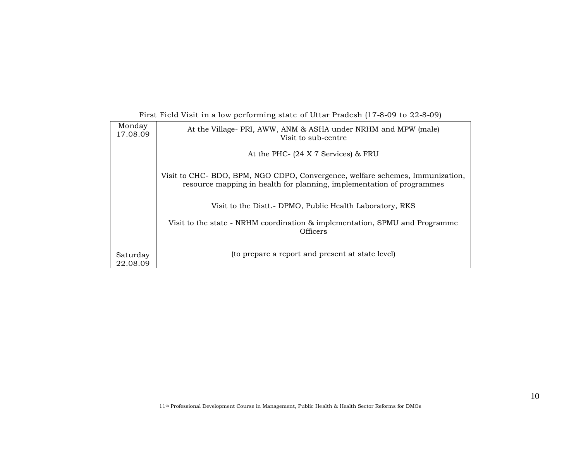| Monday<br>17.08.09   | At the Village-PRI, AWW, ANM & ASHA under NRHM and MPW (male)<br>Visit to sub-centre                                                                  |
|----------------------|-------------------------------------------------------------------------------------------------------------------------------------------------------|
|                      | At the PHC- (24 X 7 Services) & FRU                                                                                                                   |
|                      | Visit to CHC-BDO, BPM, NGO CDPO, Convergence, welfare schemes, Immunization,<br>resource mapping in health for planning, implementation of programmes |
|                      | Visit to the Distt. - DPMO, Public Health Laboratory, RKS                                                                                             |
|                      | Visit to the state - NRHM coordination & implementation, SPMU and Programme<br><b>Officers</b>                                                        |
| Saturday<br>22.08.09 | (to prepare a report and present at state level)                                                                                                      |

#### First Field Visit in a low performing state of Uttar Pradesh (17-8-09 to 22-8-09)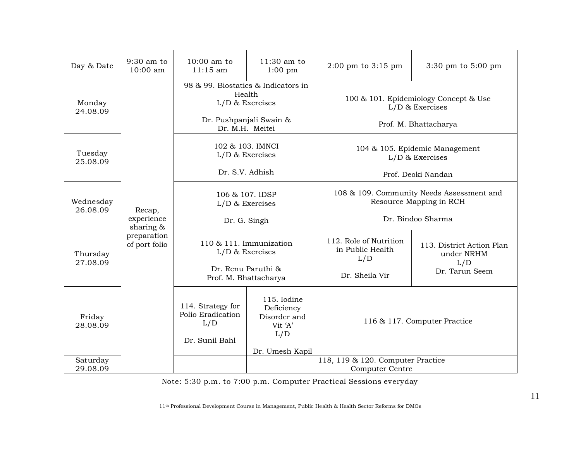| Day & Date            | 9:30 am to<br>$10:00$ am                     | $10:00$ am to<br>$11:15$ am                                                                                                                       | $11:30$ am to<br>$1:00$ pm | $2:00 \text{ pm}$ to $3:15 \text{ pm}$                                                    | 3:30 pm to 5:00 pm                                               |
|-----------------------|----------------------------------------------|---------------------------------------------------------------------------------------------------------------------------------------------------|----------------------------|-------------------------------------------------------------------------------------------|------------------------------------------------------------------|
| Monday<br>24.08.09    |                                              | 98 & 99. Biostatics & Indicators in<br>Health<br>$L/D$ & Exercises<br>Dr. Pushpanjali Swain &<br>Dr. M.H. Meitei                                  |                            | 100 & 101. Epidemiology Concept & Use<br>$L/D$ & Exercises<br>Prof. M. Bhattacharya       |                                                                  |
| Tuesday<br>25.08.09   |                                              | 102 & 103. IMNCI<br>$L/D$ & Exercises<br>Dr. S.V. Adhish                                                                                          |                            | 104 & 105. Epidemic Management<br>$L/D$ & Exercises<br>Prof. Deoki Nandan                 |                                                                  |
| Wednesday<br>26.08.09 | Recap,<br>experience                         | 106 & 107. IDSP<br>$L/D$ & Exercises<br>Dr. G. Singh                                                                                              |                            | 108 & 109. Community Needs Assessment and<br>Resource Mapping in RCH<br>Dr. Bindoo Sharma |                                                                  |
| Thursday<br>27.08.09  | sharing $\&$<br>preparation<br>of port folio | 110 & 111. Immunization<br>$L/D$ & Exercises<br>Dr. Renu Paruthi &<br>Prof. M. Bhattacharya                                                       |                            | 112. Role of Nutrition<br>in Public Health<br>L/D<br>Dr. Sheila Vir                       | 113. District Action Plan<br>under NRHM<br>L/D<br>Dr. Tarun Seem |
| Friday<br>28.08.09    |                                              | 115. Iodine<br>114. Strategy for<br>Deficiency<br>Polio Eradication<br>Disorder and<br>L/D<br>Vit 'A'<br>L/D<br>Dr. Sunil Bahl<br>Dr. Umesh Kapil |                            |                                                                                           | 116 & 117. Computer Practice                                     |
| Saturday<br>29.08.09  |                                              | 118, 119 & 120. Computer Practice<br><b>Computer Centre</b>                                                                                       |                            |                                                                                           |                                                                  |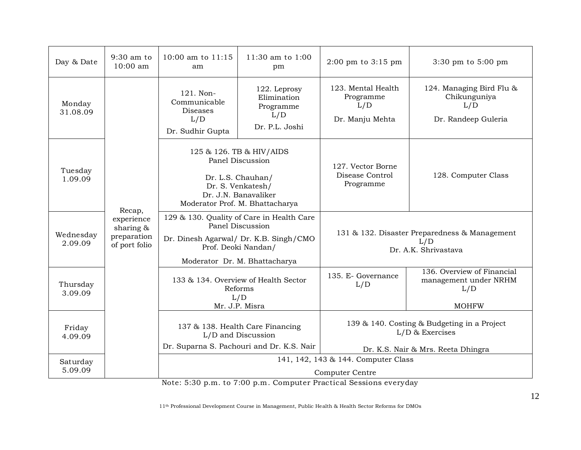| Day & Date           | 9:30 am to<br>$10:00$ am                                   | 10:00 am to 11:15<br>am                                                                                                                                         | 11:30 am to 1:00<br>pm       | $2:00 \text{ pm}$ to $3:15 \text{ pm}$                                                                                                       | $3:30 \text{ pm}$ to $5:00 \text{ pm}$                                       |
|----------------------|------------------------------------------------------------|-----------------------------------------------------------------------------------------------------------------------------------------------------------------|------------------------------|----------------------------------------------------------------------------------------------------------------------------------------------|------------------------------------------------------------------------------|
| Monday<br>31.08.09   |                                                            | 122. Leprosy<br>121. Non-<br>Elimination<br>Communicable<br>Programme<br>Diseases<br>L/D<br>L/D<br>Dr. P.L. Joshi<br>Dr. Sudhir Gupta                           |                              | 123. Mental Health<br>Programme<br>L/D<br>Dr. Manju Mehta                                                                                    | 124. Managing Bird Flu &<br>Chikunguniya<br>L/D<br>Dr. Randeep Guleria       |
| Tuesday<br>1.09.09   | Recap,                                                     | 125 & 126. TB & HIV/AIDS<br>Panel Discussion<br>Dr. L.S. Chauhan/<br>Dr. S. Venkatesh/<br>Dr. J.N. Banavaliker<br>Moderator Prof. M. Bhattacharya               |                              | 127. Vector Borne<br>Disease Control<br>Programme                                                                                            | 128. Computer Class                                                          |
| Wednesday<br>2.09.09 | experience<br>sharing $\&$<br>preparation<br>of port folio | 129 & 130. Quality of Care in Health Care<br>Panel Discussion<br>Dr. Dinesh Agarwal/ Dr. K.B. Singh/CMO<br>Prof. Deoki Nandan/<br>Moderator Dr. M. Bhattacharya |                              |                                                                                                                                              | 131 & 132. Disaster Preparedness & Management<br>L/D<br>Dr. A.K. Shrivastava |
| Thursday<br>3.09.09  |                                                            | 133 & 134. Overview of Health Sector<br>Reforms<br>L/D<br>Mr. J.P. Misra                                                                                        |                              | 135. E- Governance<br>L/D                                                                                                                    | 136. Overview of Financial<br>management under NRHM<br>L/D<br><b>MOHFW</b>   |
| Friday<br>4.09.09    |                                                            | 137 & 138. Health Care Financing<br>L/D and Discussion<br>Dr. Suparna S. Pachouri and Dr. K.S. Nair                                                             |                              |                                                                                                                                              | 139 & 140. Costing & Budgeting in a Project<br>$L/D$ & Exercises             |
| Saturday<br>5.09.09  |                                                            | $\sim$ 0.0<br>$\mathbf{r}$                                                                                                                                      | $\overline{z}$ 0.0<br>$\sim$ | 141, 142, 143 & 144. Computer Class<br>Computer Centre<br>$\mathbf{r}$ $\mathbf{r}$ $\mathbf{r}$ $\mathbf{r}$ $\mathbf{r}$<br>$\blacksquare$ | Dr. K.S. Nair & Mrs. Reeta Dhingra                                           |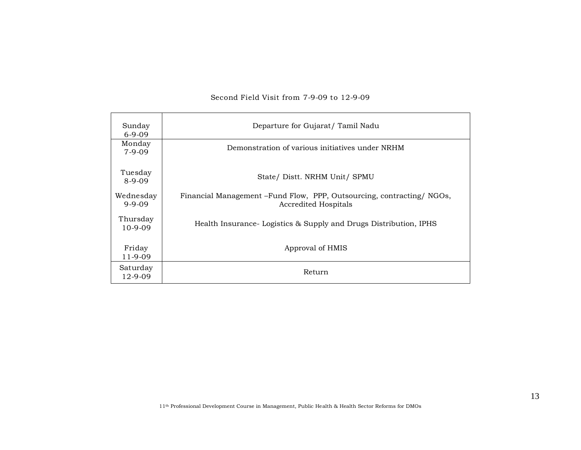| Sunday<br>$6-9-09$        | Departure for Gujarat/Tamil Nadu                                                                     |
|---------------------------|------------------------------------------------------------------------------------------------------|
| Monday<br>$7-9-09$        | Demonstration of various initiatives under NRHM                                                      |
| Tuesday<br>$8-9-09$       | State/ Distt. NRHM Unit/ SPMU                                                                        |
| Wednesday<br>$9 - 9 - 09$ | Financial Management – Fund Flow, PPP, Outsourcing, contracting/NGOs,<br><b>Accredited Hospitals</b> |
| Thursday<br>$10-9-09$     | Health Insurance Logistics & Supply and Drugs Distribution, IPHS                                     |
| Friday<br>$11 - 9 - 09$   | Approval of HMIS                                                                                     |
| Saturday<br>$12 - 9 - 09$ | Return                                                                                               |

#### Second Field Visit from 7-9-09 to 12-9-09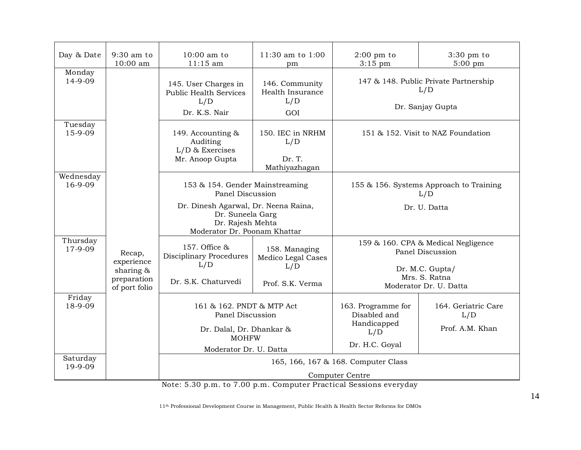| Day & Date           | $9:30$ am to<br>10:00 am                     | $10:00$ am to<br>$11:15$ am                                                                                         | 11:30 am to 1:00<br>pm                             | $2:00$ pm to<br>$3:15$ pm                                                   | $3:30$ pm to<br>$5:00$ pm                                  |
|----------------------|----------------------------------------------|---------------------------------------------------------------------------------------------------------------------|----------------------------------------------------|-----------------------------------------------------------------------------|------------------------------------------------------------|
| Monday<br>14-9-09    |                                              | 145. User Charges in<br><b>Public Health Services</b><br>L/D<br>Dr. K.S. Nair                                       | 146. Community<br>Health Insurance<br>L/D<br>GOI   | 147 & 148. Public Private Partnership<br>L/D<br>Dr. Sanjay Gupta            |                                                            |
| Tuesday<br>15-9-09   |                                              | 149. Accounting &<br>Auditing<br>$L/D$ & Exercises<br>Mr. Anoop Gupta                                               | 150. IEC in NRHM<br>L/D<br>Dr. T.<br>Mathiyazhagan |                                                                             | 151 & 152. Visit to NAZ Foundation                         |
| Wednesday<br>16-9-09 |                                              | 153 & 154. Gender Mainstreaming<br>Panel Discussion                                                                 |                                                    |                                                                             | 155 & 156. Systems Approach to Training<br>L/D             |
|                      |                                              | Dr. Dinesh Agarwal, Dr. Neena Raina,<br>Dr. Suneela Garg<br>Dr. Rajesh Mehta<br>Moderator Dr. Poonam Khattar        |                                                    |                                                                             | Dr. U. Datta                                               |
| Thursday<br>17-9-09  | Recap,<br>experience                         | 157. Office &<br><b>Disciplinary Procedures</b>                                                                     | 158. Managing<br>Medico Legal Cases                |                                                                             | 159 & 160. CPA & Medical Negligence<br>Panel Discussion    |
|                      | sharing $\&$<br>preparation<br>of port folio | L/D<br>Dr. S.K. Chaturvedi                                                                                          | L/D<br>Prof. S.K. Verma                            |                                                                             | Dr. M.C. Gupta/<br>Mrs. S. Ratna<br>Moderator Dr. U. Datta |
| Friday<br>18-9-09    |                                              | 161 & 162. PNDT & MTP Act<br>Panel Discussion<br>Dr. Dalal, Dr. Dhankar &<br><b>MOHFW</b><br>Moderator Dr. U. Datta |                                                    | 163. Programme for<br>Disabled and<br>Handicapped<br>L/D<br>Dr. H.C. Goyal  | 164. Geriatric Care<br>L/D<br>Prof. A.M. Khan              |
| Saturday<br>19-9-09  |                                              | $F \cap C$<br>$7.00 -$                                                                                              | $\sim$                                             | 165, 166, 167 & 168. Computer Class<br>Computer Centre<br>$-1 - -$<br>$-10$ |                                                            |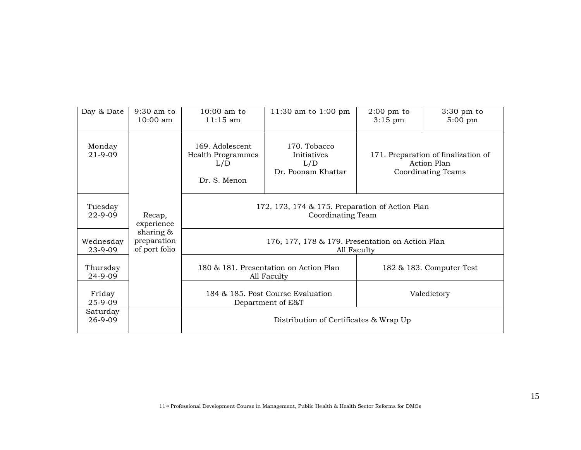| Day & Date               | $9:30$ am to<br>10:00 am                     | $10:00$ am to<br>$11:15$ am                                          | 11:30 am to 1:00 pm                                      | $2:00 \text{ pm to}$<br>$3:15$ pm | $3:30$ pm to<br>$5:00 \text{ pm}$                                               |  |
|--------------------------|----------------------------------------------|----------------------------------------------------------------------|----------------------------------------------------------|-----------------------------------|---------------------------------------------------------------------------------|--|
| Monday<br>$21 - 9 - 09$  |                                              | 169. Adolescent<br><b>Health Programmes</b><br>L/D<br>Dr. S. Menon   | 170. Tobacco<br>Initiatives<br>L/D<br>Dr. Poonam Khattar |                                   | 171. Preparation of finalization of<br>Action Plan<br><b>Coordinating Teams</b> |  |
| Tuesday<br>$22 - 9 - 09$ | Recap,<br>experience                         | 172, 173, 174 & 175. Preparation of Action Plan<br>Coordinating Team |                                                          |                                   |                                                                                 |  |
| Wednesday<br>23-9-09     | sharing $\&$<br>preparation<br>of port folio | 176, 177, 178 & 179. Presentation on Action Plan<br>All Faculty      |                                                          |                                   |                                                                                 |  |
| Thursday<br>24-9-09      |                                              |                                                                      | 180 & 181. Presentation on Action Plan<br>All Faculty    |                                   | 182 & 183. Computer Test                                                        |  |
| Friday<br>25-9-09        |                                              | 184 & 185. Post Course Evaluation<br>Department of E&T               |                                                          |                                   | Valedictory                                                                     |  |
| Saturday<br>26-9-09      |                                              | Distribution of Certificates & Wrap Up                               |                                                          |                                   |                                                                                 |  |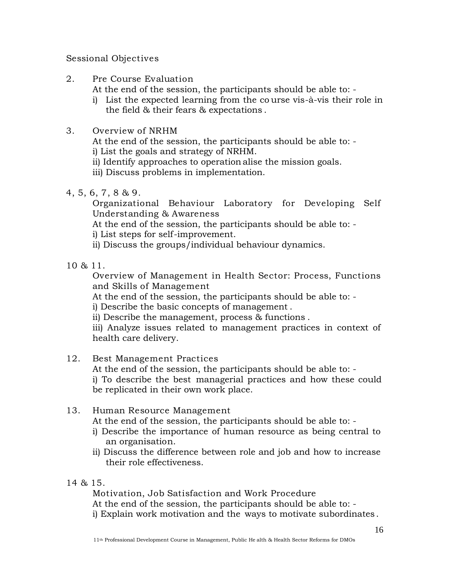#### Sessional Objectives

2. Pre Course Evaluation

At the end of the session, the participants should be able to: -

- i) List the expected learning from the co urse vis-à-vis their role in the field & their fears & expectations .
- 3. Overview of NRHM

At the end of the session, the participants should be able to: -

i) List the goals and strategy of NRHM.

ii) Identify approaches to operation alise the mission goals.

iii) Discuss problems in implementation.

4, 5, 6, 7, 8 & 9.

Organizational Behaviour Laboratory for Developing Self Understanding & Awareness

At the end of the session, the participants should be able to: -

i) List steps for self-improvement.

ii) Discuss the groups/individual behaviour dynamics.

10 & 11.

Overview of Management in Health Sector: Process, Functions and Skills of Management

At the end of the session, the participants should be able to: -

i) Describe the basic concepts of management .

ii) Describe the management, process & functions .

iii) Analyze issues related to management practices in context of health care delivery.

# 12. Best Management Practices

At the end of the session, the participants should be able to: i) To describe the best managerial practices and how these could be replicated in their own work place.

# 13. Human Resource Management

At the end of the session, the participants should be able to: -

- i) Describe the importance of human resource as being central to an organisation.
- ii) Discuss the difference between role and job and how to increase their role effectiveness.

# 14 & 15.

Motivation, Job Satisfaction and Work Procedure At the end of the session, the participants should be able to: i) Explain work motivation and the ways to motivate subordinates .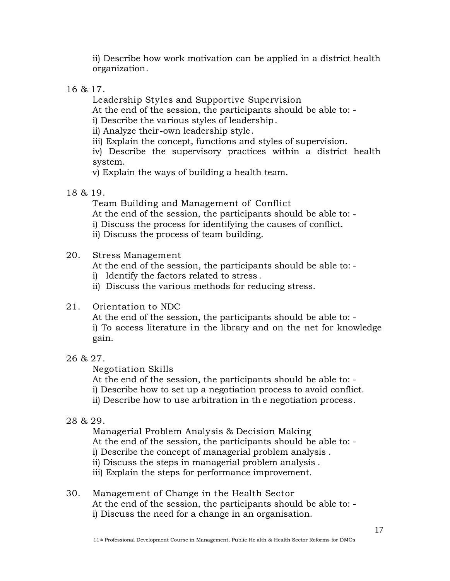ii) Describe how work motivation can be applied in a district health organization.

16 & 17.

Leadership Styles and Supportive Supervision

At the end of the session, the participants should be able to: -

i) Describe the various styles of leadership.

ii) Analyze their-own leadership style.

iii) Explain the concept, functions and styles of supervision.

iv) Describe the supervisory practices within a district health system.

v) Explain the ways of building a health team.

18 & 19.

Team Building and Management of Conflict At the end of the session, the participants should be able to: i) Discuss the process for identifying the causes of conflict. ii) Discuss the process of team building.

# 20. Stress Management

At the end of the session, the participants should be able to: -

i) Identify the factors related to stress .

ii) Discuss the various methods for reducing stress.

# 21. Orientation to NDC

At the end of the session, the participants should be able to: i) To access literature in the library and on the net for knowledge gain.

# 26 & 27.

Negotiation Skills

At the end of the session, the participants should be able to: i) Describe how to set up a negotiation process to avoid conflict. ii) Describe how to use arbitration in th e negotiation process.

# 28 & 29.

Managerial Problem Analysis & Decision Making At the end of the session, the participants should be able to: i) Describe the concept of managerial problem analysis . ii) Discuss the steps in managerial problem analysis . iii) Explain the steps for performance improvement.

# 30. Management of Change in the Health Sector At the end of the session, the participants should be able to: i) Discuss the need for a change in an organisation.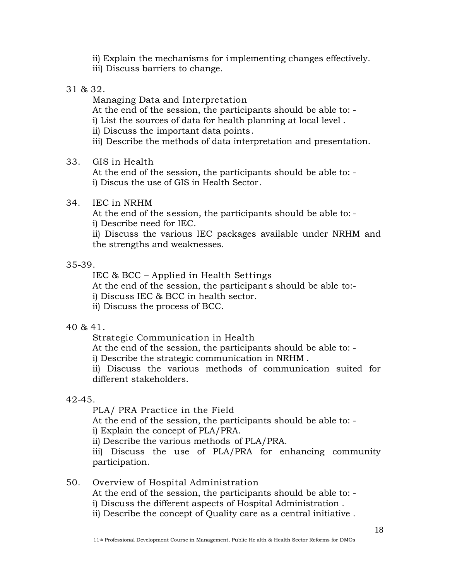ii) Explain the mechanisms for i mplementing changes effectively. iii) Discuss barriers to change.

31 & 32.

Managing Data and Interpretation At the end of the session, the participants should be able to: i) List the sources of data for health planning at local level . ii) Discuss the important data points. iii) Describe the methods of data interpretation and presentation.

33. GIS in Health

At the end of the session, the participants should be able to: i) Discus the use of GIS in Health Sector .

34. IEC in NRHM

At the end of the session, the participants should be able to: i) Describe need for IEC.

ii) Discuss the various IEC packages available under NRHM and the strengths and weaknesses.

### 35-39.

IEC & BCC – Applied in Health Settings

At the end of the session, the participant s should be able to:-

i) Discuss IEC & BCC in health sector.

ii) Discuss the process of BCC.

40 & 41.

Strategic Communication in Health

At the end of the session, the participants should be able to: -

i) Describe the strategic communication in NRHM .

ii) Discuss the various methods of communication suited for different stakeholders.

### 42-45.

PLA/ PRA Practice in the Field

At the end of the session, the participants should be able to: -

i) Explain the concept of PLA/PRA.

ii) Describe the various methods of PLA/PRA.

iii) Discuss the use of PLA/PRA for enhancing community participation.

50. Overview of Hospital Administration

At the end of the session, the participants should be able to: -

i) Discuss the different aspects of Hospital Administration .

ii) Describe the concept of Quality care as a central initiative .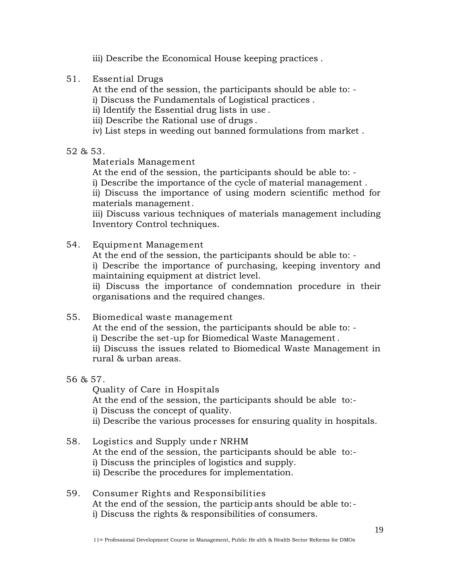- iii) Describe the Economical House keeping practices .
- 51. Essential Drugs

At the end of the session, the participants should be able to: -

i) Discuss the Fundamentals of Logistical practices .

- ii) Identify the Essential drug lists in use .
- iii) Describe the Rational use of drugs .
- iv) List steps in weeding out banned formulations from market .

### 52 & 53.

Materials Management

At the end of the session, the participants should be able to: -

i) Describe the importance of the cycle of material management .

ii) Discuss the importance of using modern scientific method for materials management.

iii) Discuss various techniques of materials management including Inventory Control techniques.

54. Equipment Management

At the end of the session, the participants should be able to: i) Describe the importance of purchasing, keeping inventory and maintaining equipment at district level.

ii) Discuss the importance of condemnation procedure in their organisations and the required changes.

55. Biomedical waste management

At the end of the session, the participants should be able to: -

i) Describe the set-up for Biomedical Waste Management.

ii) Discuss the issues related to Biomedical Waste Management in rural & urban areas.

56 & 57.

Quality of Care in Hospitals At the end of the session, the participants should be able to: i) Discuss the concept of quality. ii) Describe the various processes for ensuring quality in hospitals.

- 58. Logistics and Supply unde r NRHM At the end of the session, the participants should be able to: i) Discuss the principles of logistics and supply. ii) Describe the procedures for implementation.
- 59. Consumer Rights and Responsibilities At the end of the session, the particip ants should be able to: i) Discuss the rights & responsibilities of consumers.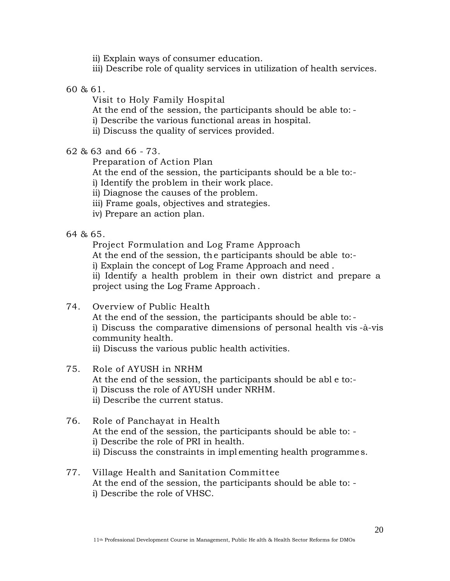ii) Explain ways of consumer education.

iii) Describe role of quality services in utilization of health services.

60 & 61.

Visit to Holy Family Hospital

At the end of the session, the participants should be able to: -

i) Describe the various functional areas in hospital.

ii) Discuss the quality of services provided.

62 & 63 and 66 - 73.

Preparation of Action Plan

At the end of the session, the participants should be a ble to:-

i) Identify the problem in their work place.

ii) Diagnose the causes of the problem.

iii) Frame goals, objectives and strategies.

iv) Prepare an action plan.

64 & 65.

Project Formulation and Log Frame Approach

At the end of the session, the participants should be able to:-

i) Explain the concept of Log Frame Approach and need .

ii) Identify a health problem in their own district and prepare a project using the Log Frame Approach .

### 74. Overview of Public Health

At the end of the session, the participants should be able to: i) Discuss the comparative dimensions of personal health vis -à-vis community health.

ii) Discuss the various public health activities.

- 75. Role of AYUSH in NRHM At the end of the session, the participants should be abl e to: i) Discuss the role of AYUSH under NRHM. ii) Describe the current status.
- 76. Role of Panchayat in Health At the end of the session, the participants should be able to: i) Describe the role of PRI in health. ii) Discuss the constraints in impl ementing health programme s.
- 77. Village Health and Sanitation Committee At the end of the session, the participants should be able to: i) Describe the role of VHSC.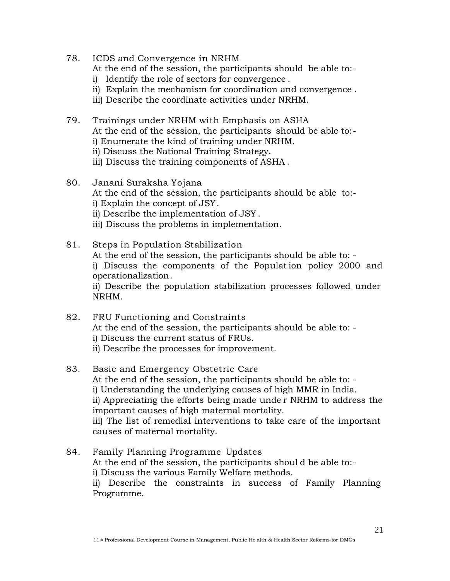- 78. ICDS and Convergence in NRHM At the end of the session, the participants should be able to:-
	-
	- i) Identify the role of sectors for convergence .
	- ii) Explain the mechanism for coordination and convergence .
	- iii) Describe the coordinate activities under NRHM.
- 79. Trainings under NRHM with Emphasis on ASHA At the end of the session, the participants should be able to: i) Enumerate the kind of training under NRHM.
	- ii) Discuss the National Training Strategy.
	- iii) Discuss the training components of ASHA .
- 80. Janani Suraksha Yojana At the end of the session, the participants should be able to: i) Explain the concept of JSY. ii) Describe the implementation of JSY . iii) Discuss the problems in implementation.
- 81. Steps in Population Stabilization At the end of the session, the participants should be able to: i) Discuss the components of the Populat ion policy 2000 and operationalization. ii) Describe the population stabilization processes followed under NRHM.
- 82. FRU Functioning and Constraints At the end of the session, the participants should be able to: i) Discuss the current status of FRUs. ii) Describe the processes for improvement.
- 83. Basic and Emergency Obstetric Care At the end of the session, the participants should be able to: i) Understanding the underlying causes of high MMR in India. ii) Appreciating the efforts being made unde r NRHM to address the important causes of high maternal mortality. iii) The list of remedial interventions to take care of the important causes of maternal mortality.
- 84. Family Planning Programme Updates At the end of the session, the participants shoul d be able to: i) Discuss the various Family Welfare methods. ii) Describe the constraints in success of Family Planning Programme.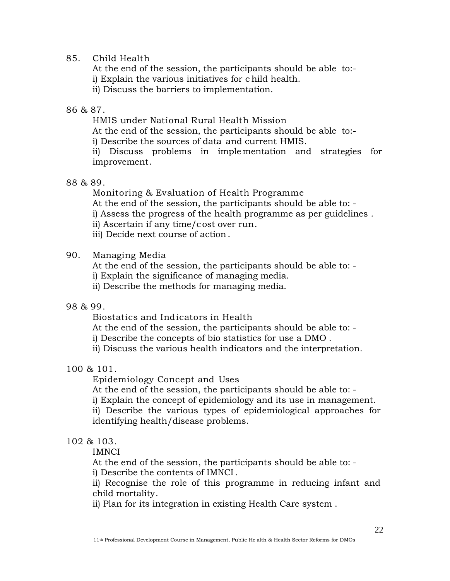#### 85. Child Health

At the end of the session, the participants should be able to: i) Explain the various initiatives for c hild health. ii) Discuss the barriers to implementation.

86 & 87.

HMIS under National Rural Health Mission

At the end of the session, the participants should be able to:-

i) Describe the sources of data and current HMIS.

ii) Discuss problems in imple mentation and strategies for improvement.

88 & 89.

Monitoring & Evaluation of Health Programme

At the end of the session, the participants should be able to: -

i) Assess the progress of the health programme as per guidelines .

- ii) Ascertain if any time/cost over run.
- iii) Decide next course of action.

#### 90. Managing Media

At the end of the session, the participants should be able to: i) Explain the significance of managing media.

ii) Describe the methods for managing media.

#### 98 & 99.

Biostatics and Indicators in Health

At the end of the session, the participants should be able to: -

i) Describe the concepts of bio statistics for use a DMO .

ii) Discuss the various health indicators and the interpretation.

### 100 & 101.

Epidemiology Concept and Uses

At the end of the session, the participants should be able to: -

i) Explain the concept of epidemiology and its use in management.

ii) Describe the various types of epidemiological approaches for identifying health/disease problems.

### 102 & 103.

IMNCI

At the end of the session, the participants should be able to: -

i) Describe the contents of IMNCI .

ii) Recognise the role of this programme in reducing infant and child mortality.

ii) Plan for its integration in existing Health Care system .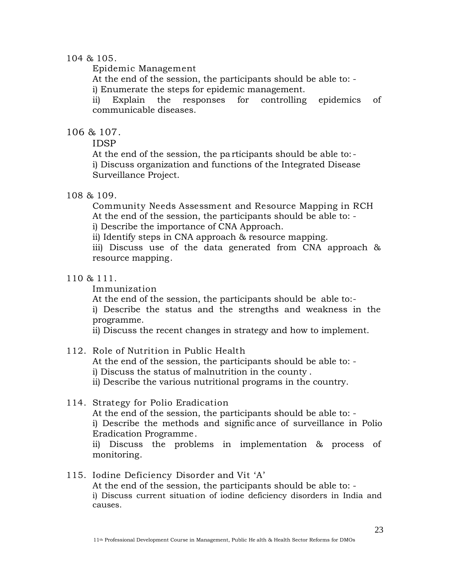#### 104 & 105.

Epidemic Management

At the end of the session, the participants should be able to: -

i) Enumerate the steps for epidemic management.

ii) Explain the responses for controlling epidemics of communicable diseases.

### 106 & 107.

IDSP

At the end of the session, the pa rticipants should be able to: i) Discuss organization and functions of the Integrated Disease Surveillance Project.

### 108 & 109.

Community Needs Assessment and Resource Mapping in RCH At the end of the session, the participants should be able to: i) Describe the importance of CNA Approach.

ii) Identify steps in CNA approach & resource mapping.

iii) Discuss use of the data generated from CNA approach & resource mapping.

### 110 & 111.

Immunization

At the end of the session, the participants should be able to:-

i) Describe the status and the strengths and weakness in the programme.

ii) Discuss the recent changes in strategy and how to implement.

# 112. Role of Nutrition in Public Health

At the end of the session, the participants should be able to: i) Discuss the status of malnutrition in the county .

ii) Describe the various nutritional programs in the country.

### 114. Strategy for Polio Eradication

At the end of the session, the participants should be able to: i) Describe the methods and signific ance of surveillance in Polio Eradication Programme. ii) Discuss the problems in implementation & process of

monitoring.

### 115. Iodine Deficiency Disorder and Vit 'A'

At the end of the session, the participants should be able to: i) Discuss current situation of iodine deficiency disorders in India and causes.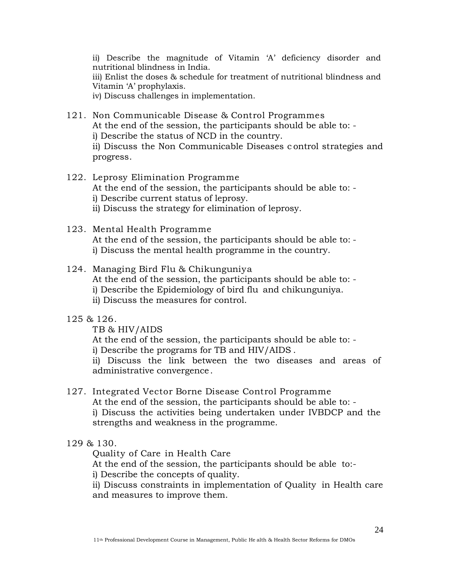ii) Describe the magnitude of Vitamin 'A' deficiency disorder and nutritional blindness in India. iii) Enlist the doses & schedule for treatment of nutritional blindness and Vitamin 'A' prophylaxis. iv) Discuss challenges in implementation.

- 121. Non Communicable Disease & Control Programmes At the end of the session, the participants should be able to: i) Describe the status of NCD in the country. ii) Discuss the Non Communicable Diseases c ontrol strategies and progress.
- 122. Leprosy Elimination Programme At the end of the session, the participants should be able to: i) Describe current status of leprosy. ii) Discuss the strategy for elimination of leprosy.
- 123. Mental Health Programme At the end of the session, the participants should be able to: i) Discuss the mental health programme in the country.
- 124. Managing Bird Flu & Chikunguniya At the end of the session, the participants should be able to: i) Describe the Epidemiology of bird flu and chikunguniya. ii) Discuss the measures for control.
- 125 & 126.

TB & HIV/AIDS

At the end of the session, the participants should be able to: i) Describe the programs for TB and HIV/AIDS .

ii) Discuss the link between the two diseases and areas of administrative convergence .

- 127. Integrated Vector Borne Disease Control Programme At the end of the session, the participants should be able to: i) Discuss the activities being undertaken under IVBDCP and the strengths and weakness in the programme.
- 129 & 130.

Quality of Care in Health Care

At the end of the session, the participants should be able to:-

i) Describe the concepts of quality.

ii) Discuss constraints in implementation of Quality in Health care and measures to improve them.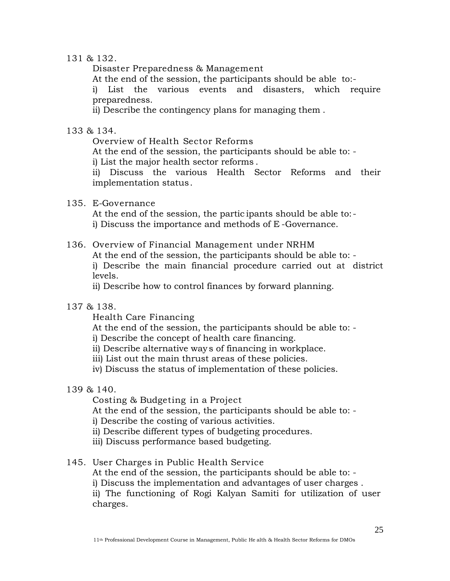#### 131 & 132.

Disaster Preparedness & Management

At the end of the session, the participants should be able to:-

i) List the various events and disasters, which require preparedness.

ii) Describe the contingency plans for managing them .

#### 133 & 134.

Overview of Health Sector Reforms

At the end of the session, the participants should be able to: -

i) List the major health sector reforms .

ii) Discuss the various Health Sector Reforms and their implementation status.

### 135. E-Governance

At the end of the session, the partic ipants should be able to: i) Discuss the importance and methods of E -Governance.

### 136. Overview of Financial Management under NRHM

At the end of the session, the participants should be able to: i) Describe the main financial procedure carried out at district levels.

ii) Describe how to control finances by forward planning.

#### 137 & 138.

Health Care Financing

At the end of the session, the participants should be able to: -

i) Describe the concept of health care financing.

ii) Describe alternative way s of financing in workplace.

iii) List out the main thrust areas of these policies.

iv) Discuss the status of implementation of these policies.

### 139 & 140.

Costing & Budgeting in a Project

At the end of the session, the participants should be able to: -

i) Describe the costing of various activities.

- ii) Describe different types of budgeting procedures.
- iii) Discuss performance based budgeting.

### 145. User Charges in Public Health Service

At the end of the session, the participants should be able to: i) Discuss the implementation and advantages of user charges . ii) The functioning of Rogi Kalyan Samiti for utilization of user charges.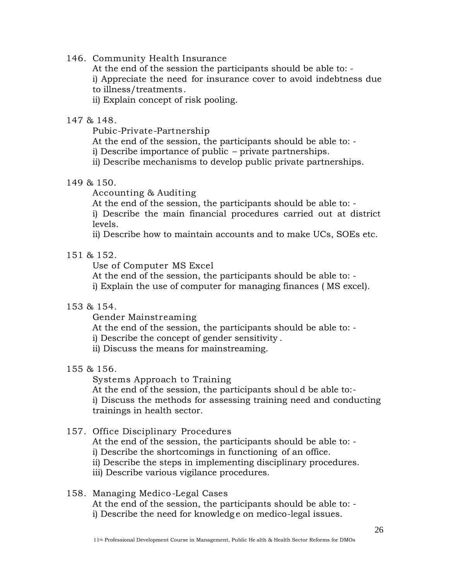146. Community Health Insurance

At the end of the session the participants should be able to: -

i) Appreciate the need for insurance cover to avoid indebtness due to illness/treatments.

ii) Explain concept of risk pooling.

#### 147 & 148.

Pubic-Private-Partnership

At the end of the session, the participants should be able to: -

i) Describe importance of public – private partnerships.

ii) Describe mechanisms to develop public private partnerships.

### 149 & 150.

Accounting & Auditing

At the end of the session, the participants should be able to: -

i) Describe the main financial procedures carried out at district levels.

ii) Describe how to maintain accounts and to make UCs, SOEs etc.

### 151 & 152.

Use of Computer MS Excel

At the end of the session, the participants should be able to: -

i) Explain the use of computer for managing finances ( MS excel).

### 153 & 154.

Gender Mainstreaming

At the end of the session, the participants should be able to: -

i) Describe the concept of gender sensitivity .

ii) Discuss the means for mainstreaming.

### 155 & 156.

Systems Approach to Training

At the end of the session, the participants shoul d be able to: i) Discuss the methods for assessing training need and conducting trainings in health sector.

### 157. Office Disciplinary Procedures

At the end of the session, the participants should be able to: i) Describe the shortcomings in functioning of an office.

ii) Describe the steps in implementing disciplinary procedures.

iii) Describe various vigilance procedures.

#### 158. Managing Medico -Legal Cases At the end of the session, the participants should be able to: i) Describe the need for knowledg e on medico-legal issues.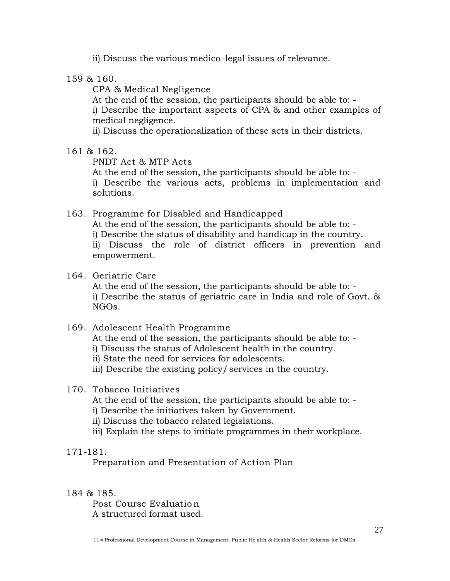ii) Discuss the various medico -legal issues of relevance.

159 & 160.

CPA & Medical Negligence

At the end of the session, the participants should be able to: i) Describe the important aspects of CPA & and other examples of medical negligence.

ii) Discuss the operationalization of these acts in their districts.

161 & 162.

PNDT Act & MTP Acts

At the end of the session, the participants should be able to: i) Describe the various acts, problems in implementation and solutions.

- 163. Programme for Disabled and Handicapped At the end of the session, the participants should be able to: i) Describe the status of disability and handicap in the country. ii) Discuss the role of district officers in prevention and empowerment.
- 164. Geriatric Care At the end of the session, the participants should be able to: i) Describe the status of geriatric care in India and role of Govt. & NGOs.
- 169. Adolescent Health Programme At the end of the session, the participants should be able to: i) Discuss the status of Adolescent health in the country. ii) State the need for services for adolescents. iii) Describe the existing policy/ services in the country.

### 170. Tobacco Initiatives

At the end of the session, the participants should be able to: -

- i) Describe the initiatives taken by Government.
- ii) Discuss the tobacco related legislations.
- iii) Explain the steps to initiate programmes in their workplace.

### 171-181.

Preparation and Presentation of Action Plan

### 184 & 185.

Post Course Evaluatio n A structured format used.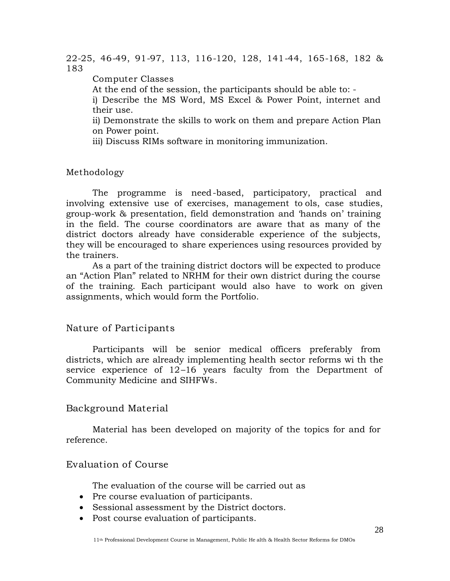22-25, 46-49, 91-97, 113, 116-120, 128, 141-44, 165-168, 182 & 183

Computer Classes

At the end of the session, the participants should be able to: -

i) Describe the MS Word, MS Excel & Power Point, internet and their use.

ii) Demonstrate the skills to work on them and prepare Action Plan on Power point.

iii) Discuss RIMs software in monitoring immunization.

Methodology

The programme is need-based, participatory, practical and involving extensive use of exercises, management to ols, case studies, group-work & presentation, field demonstration and 'hands on' training in the field. The course coordinators are aware that as many of the district doctors already have considerable experience of the subjects, they will be encouraged to share experiences using resources provided by the trainers.

As a part of the training district doctors will be expected to produce an "Action Plan" related to NRHM for their own district during the course of the training. Each participant would also have to work on given assignments, which would form the Portfolio.

### Nature of Participants

Participants will be senior medical officers preferably from districts, which are already implementing health sector reforms wi th the service experience of 12–16 years faculty from the Department of Community Medicine and SIHFWs.

# Background Material

Material has been developed on majority of the topics for and for reference.

# Evaluation of Course

The evaluation of the course will be carried out as

- Pre course evaluation of participants.
- Sessional assessment by the District doctors.
- Post course evaluation of participants.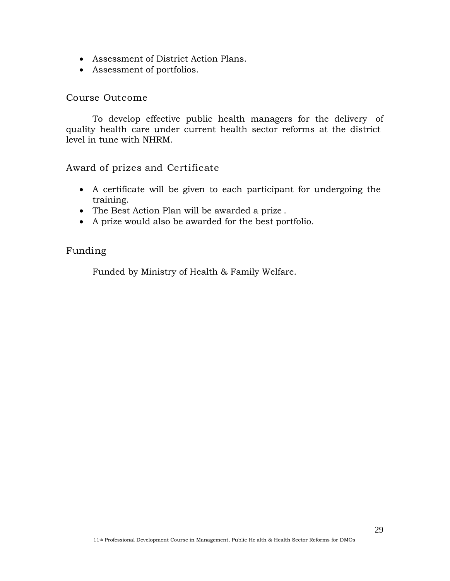- Assessment of District Action Plans.
- Assessment of portfolios.

#### Course Outcome

To develop effective public health managers for the delivery of quality health care under current health sector reforms at the district level in tune with NHRM.

# Award of prizes and Certificate

- A certificate will be given to each participant for undergoing the training.
- The Best Action Plan will be awarded a prize .
- A prize would also be awarded for the best portfolio.

### Funding

Funded by Ministry of Health & Family Welfare.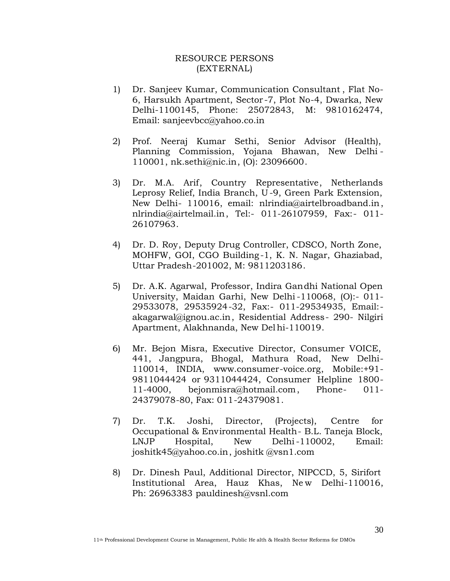#### RESOURCE PERSONS (EXTERNAL)

- 1) Dr. Sanjeev Kumar, Communication Consultant , Flat No-6, Harsukh Apartment, Sector -7, Plot No-4, Dwarka, New Delhi-1100145, Phone: 25072843, M: 9810162474, Email: sanjeevbcc@yahoo.co.in
- 2) Prof. Neeraj Kumar Sethi, Senior Advisor (Health), Planning Commission, Yojana Bhawan, New Delhi - 110001, nk.sethi@[nic.in, \(O\): 23](sethi@nic.in)096600.
- 3) Dr. M.A. Arif, Country Representative, Netherlands Leprosy Relief, India Branch, U -9, Green Park Extension, New Delhi- 110016, email: nlrindia@a[irtelbroadband.in,](nlrindia@airtelbroadband.in) nlrindia@airtelmail.in, Tel:- [011-2610795](nlrindia@airtelmail.in)9, Fax:- 011- 26107963.
- 4) Dr. D. Roy, Deputy Drug Controller, CDSCO, North Zone, MOHFW, GOI, CGO Building -1, K. N. Nagar, Ghaziabad, Uttar Pradesh-201002, M: 9811203186.
- 5) Dr. A.K. Agarwal, Professor, Indira Gandhi National Open University, Maidan Garhi, New Delhi-110068, (O):- 011- 29533078, 29535924-32, Fax:- 011-29534935, Email: akagarwal@ignou.ac.in[, Residential Address-](akagarwal@ignou.ac.in) 290- Nilgiri Apartment, Alakhnanda, New Delhi-110019.
- 6) Mr. Bejon Misra, Executive Director, Consumer VOICE, 441, Jangpura, Bhogal, Mathura Road, New Delhi-110014, INDIA, www.co[nsumer-voice.org,](www.consumer-voice.org) Mobile:+91- 9811044424 or 9311044424, Consumer Helpline 1800- 11-4000, be[jonmisra@hotmail.com,](bejonmisra@hotmail.com) Phone- 011- 24379078-80, Fax: 011-24379081.
- 7) Dr. T.K. Joshi, Director, (Projects), Centre for Occupational & Environmental Health- B.L. Taneja Block, LNJP Hospital, New Delhi-110002, Email: joshitk45@yahoo.co.in[, joshitk @vsn1.com](joshitk45@yahoo.co.in)
- 8) Dr. Dinesh Paul, Additional Director, NIPCCD, 5, Sirifort Institutional Area, Hauz Khas, New Delhi-110016, Ph: 26963383 pauldi[nesh@vsnl.com](pauldinesh@vsnl.com)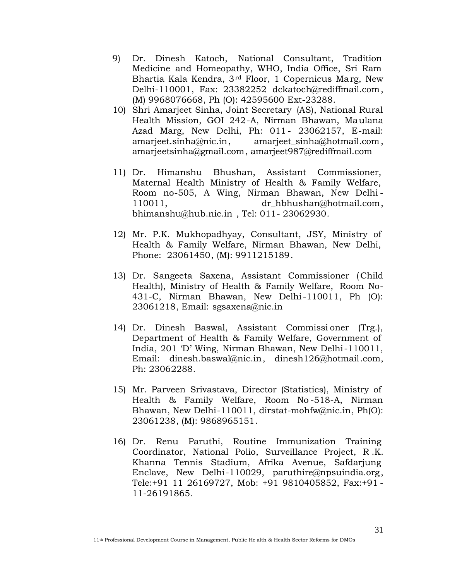- 9) Dr. Dinesh Katoch, National Consultant, Tradition Medicine and Homeopathy, WHO, India Office, Sri Ram Bhartia Kala Kendra, 3rd Floor, 1 Copernicus Marg, New Delhi-110001, Fax: 23382252 dcka[toch@rediffmail.com,](dckatoch@rediffmail.com) (M) 9968076668, Ph (O): 42595600 Ext-23288.
- 10) Shri Amarjeet Sinha, Joint Secretary (AS), National Rural Health Mission, GOI 242-A, Nirman Bhawan, Maulana Azad Marg, New Delhi, Ph: 011 - 23062157, E-mail: amarieet.sinha@nic.in, amarieet sinha@hotm[ail.com,](amarjeet_sinha@hotmail.com) amarje[etsinha@gmail.com, amarj](amarjeetsinha@gmail.com)e[et987@rediffmail.com](amarjeet987@rediffmail.com)
- 11) Dr. Himanshu Bhushan, Assistant Commissioner, Maternal Health Ministry of Health & Family Welfare, Room no-505, A Wing, Nirman Bhawan, New Delhi - 110011, dr hbhushan@hotmail.com, bhimanshu@hub.nic.in , Tel: 011- [23062930.](bhimanshu@hub.nic.in)
- 12) Mr. P.K. Mukhopadhyay, Consultant, JSY, Ministry of Health & Family Welfare, Nirman Bhawan, New Delhi, Phone: 23061450, (M): 9911215189.
- 13) Dr. Sangeeta Saxena, Assistant Commissioner ( Child Health), Ministry of Health & Family Welfare, Room No-431-C, Nirman Bhawan, New Delhi-110011, Ph (O): 23061218, Email: sgsaxena[@nic.in](sgsaxena@nic.in)
- 14) Dr. Dinesh Baswal, Assistant Commissi oner (Trg.), Department of Health & Family Welfare, Government of India, 201 'D' Wing, Nirman Bhawan, New Delhi-110011, Email: dinesh.baswal@[nic.in,](baswal@nic.in) dinesh1[26@hotmail.com,](dinesh126@hotmail.com) Ph: 23062288.
- 15) Mr. Parveen Srivastava, Director (Statistics), Ministry of Health & Family Welfare, Room No -518-A, Nirman Bhawan, New Delhi-110011, dirstat-mohfw@nic.[in, Ph\(O\):](dirstat-mohfw@nic.in) 23061238, (M): 9868965151.
- 16) Dr. Renu Paruthi, Routine Immunization Training Coordinator, National Polio, Surveillance Project, R .K. Khanna Tennis Stadium, Afrika Avenue, Safdarjung Enclave, New Delhi-110029, paruthire@npsuindia[.org,](paruthire@npsuindia.org) Tele:+91 11 26169727, Mob: +91 9810405852, Fax:+91 - 11-26191865.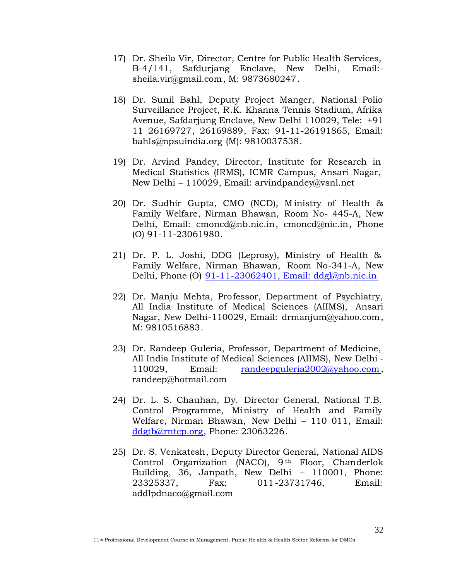- 17) Dr. Sheila Vir, Director, Centre for Public Health Services, B-4/141, Safdurjang Enclave, New Delhi, E[mail:](Email:-) sheila.vir@gmail.com, M: 9[873680247.](vir@gmail.com)
- 18) Dr. Sunil Bahl, Deputy Project Manger, National Polio Surveillance Project, R.K. Khanna Tennis Stadium, Afrika Avenue, Safdarjung Enclave, New Delhi 110029, Tele: +91 11 26169727, 26169889, Fax: 91-11-26191865, Email: bahls@npsuindia.org [\(M\): 9810037538.](bahls@npsuindia.org)
- 19) Dr. Arvind Pandey, Director, Institute for Research in Medical Statistics (IRMS), ICMR Campus, Ansari Nagar, New Delhi – 110029, Email: arvindpandey@vsnl.net
- 20) Dr. Sudhir Gupta, CMO (NCD), M inistry of Health & Family Welfare, Nirman Bhawan, Room No- 445-A, New Delhi, Email: cmon[cd@nb.nic.in,](cmoncd@nb.nic.in) cmon[cd@nic.in,](cmoncd@nic.in) Phone (O) 91-11-23061980.
- 21) Dr. P. L. Joshi, DDG (Leprosy), Ministry of Health & Family Welfare, Nirman Bhawan, Room No-341-A, New Delhi, Phone (O) 91-11-23062401, Email: ddgl@nb.nic.in
- 22) Dr. Manju Mehta, Professor, Department of Psychiatry, All India Institute of Medical Sciences (AIIMS), Ansari Nagar, New Delhi-110029, Email: drma[njum@yahoo.com,](drmanjum@yahoo.com) M: 9810516883.
- 23) Dr. Randeep Guleria, Professor, Department of Medicine, All India Institute of Medical Sciences (AIIMS), New Delhi - 110029, Email: randeepguleria2002@yah[oo.com,](randeepguleria2002@yahoo.com) randeep@hotmail.com
- 24) Dr. L. S. Chauhan, Dy. Director General, National T.B. Control Programme, Ministry of Health and Family Welfare, Nirman Bhawan, New Delhi – 110 011, Email: ddgtb@rntcp.org, [Phone: 2306322](ddgtb@rntcp.org)6.
- 25) Dr. S. Venkatesh, Deputy Director General, National AIDS Control Organization (NACO), 9<sup>th</sup> Floor, Chanderlok Building, 36, Janpath, New Delhi – 110001, Phone: 23325337, Fax: 011-23731746, Email: addlpdnaco[@gmail.com](addlpdnaco@gmail.com)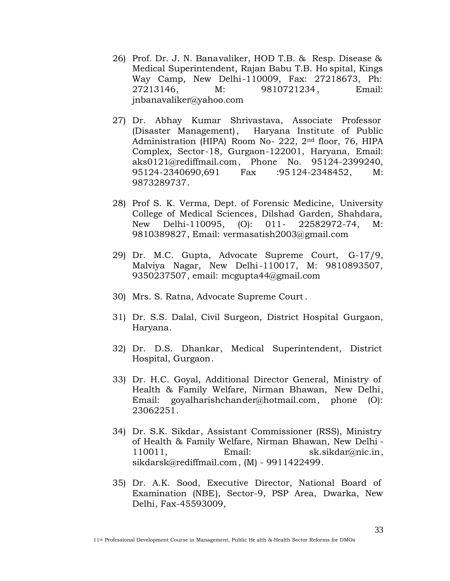- 26) Prof. Dr. J. N. Banavaliker, HOD T.B. & Resp. Disease & Medical Superintendent, Rajan Babu T.B. Ho spital, Kings Way Camp, New Delhi-110009, Fax: 27218673, Ph: 27213146, M: 9810721234, Email: jnbanavaliker@yahoo.com
- 27) Dr. Abhay Kumar Shrivastava, Associate Professor (Disaster Management), Haryana Institute of Public Administration (HIPA) Room No- 222, 2nd floor, 76, HIPA Complex, Sector-18, Gurgaon-122001, Haryana, Email: aks0121@rediffmail.com[, Phone](aks0121@rediffmail.com) No. 95124-2399240, 95124-2340690,691 Fax :95124-2348452, M: 9873289737.
- 28) Prof S. K. Verma, Dept. of Forensic Medicine, University College of Medical Sciences, Dilshad Garden, Shahdara, New Delhi-110095, (O): 011- 22582972-74, M: 9810389827, Email: vermasatish[2003@gmail.com](vermasatish2003@gmail.com)
- 29) Dr. M.C. Gupta, Advocate Supreme Court, G-17/9, Malviya Nagar, New Delhi-110017, M: 9810893507, 9350237507, email: mcgupta44[@gmail.com](mcgupta44@gmail.com)
- 30) Mrs. S. Ratna, Advocate Supreme Court .
- 31) Dr. S.S. Dalal, Civil Surgeon, District Hospital Gurgaon, Haryana.
- 32) Dr. D.S. Dhankar, Medical Superintendent, District Hospital, Gurgaon.
- 33) Dr. H.C. Goyal, Additional Director General, Ministry of Health & Family Welfare, Nirman Bhawan, New Delhi, Email: goyalhar[ishchander@hotmail.com, phone](goyalharishchander@hotmail.com) (O): 23062251.
- 34) Dr. S.K. Sikdar, Assistant Commissioner (RSS), Ministry of Health & Family Welfare, Nirman Bhawan, New Delhi - 110011, Email: sk.sikdar@nic.in, sikdarsk@rediffmail.com, (M) - [9911422499.](sikdarsk@rediffmail.com)
- 35) Dr. A.K. Sood, Executive Director, National Board of Examination (NBE), Sector-9, PSP Area, Dwarka, New Delhi, Fax-45593009,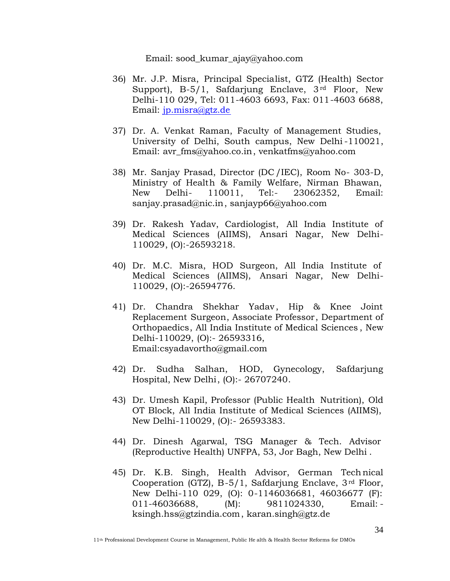Email: s[ood\\_kumar\\_ajay@yahoo.com](sood_kumar_ajay@yahoo.com)

- 36) Mr. J.P. Misra, Principal Specialist, GTZ (Health) Sector Support), B-5/1, Safdarjung Enclave,  $3<sup>rd</sup>$  Floor, New Delhi-110 029, Tel: 011-4603 6693, Fax: 011-4603 6688, Email: jp.misra[@gtz.de](misra@gtz.de)
- 37) Dr. A. Venkat Raman, Faculty of Management Studies, University of Delhi, South campus, New Delhi -110021, Email: avr\_fm[s@yahoo.co.in,](avr_fms@yahoo.co.in) venkat[fms@yahoo.com](venkatfms@yahoo.com)
- 38) Mr. Sanjay Prasad, Director (DC /IEC), Room No- 303-D, Ministry of Health & Family Welfare, Nirman Bhawan, New Delhi- 110011, Tel:- 23062352, Email: sanjay.prasad@nic.in, sanja[yp66@yahoo.co](prasad@nic.in)[m](sanjayp66@yahoo.com)
- 39) Dr. Rakesh Yadav, Cardiologist, All India Institute of Medical Sciences (AIIMS), Ansari Nagar, New Delhi-110029, (O):-26593218.
- 40) Dr. M.C. Misra, HOD Surgeon, All India Institute of Medical Sciences (AIIMS), Ansari Nagar, New Delhi-110029, (O):-26594776.
- 41) Dr. Chandra Shekhar Yadav, Hip & Knee Joint Replacement Surgeon, Associate Professor, Department of Orthopaedics, All India Institute of Medical Sciences , New Delhi-110029, (O):- 26593316, Ema[il:csyadavortho@gmail.com](Email:csyadavortho@gmail.com)
- 42) Dr. Sudha Salhan, HOD, Gynecology, Safdarjung Hospital, New Delhi, (O):- 26707240.
- 43) Dr. Umesh Kapil, Professor (Public Health Nutrition), Old OT Block, All India Institute of Medical Sciences (AIIMS), New Delhi-110029, (O):- 26593383.
- 44) Dr. Dinesh Agarwal, TSG Manager & Tech. Advisor (Reproductive Health) UNFPA, 53, Jor Bagh, New Delhi .
- 45) Dr. K.B. Singh, Health Advisor, German Technical Cooperation (GTZ), B-5/1, Safdarjung Enclave, 3rd Floor, New Delhi-110 029, (O): 0-1146036681, 46036677 (F): 011-46036688, M: 9811024330, Em[ail:](Email:-) ksingh.hss@gtzindia.com, karan.singh@gtz.de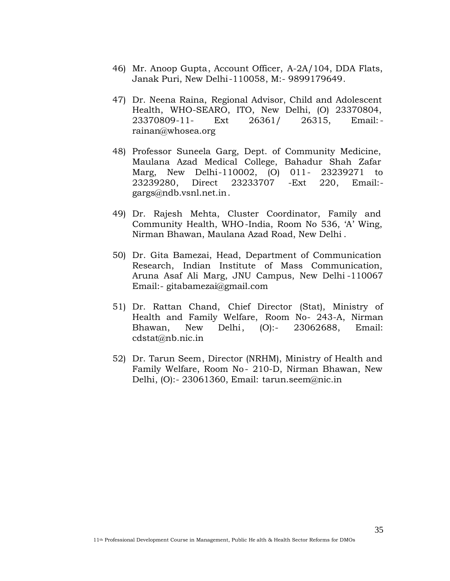- 46) Mr. Anoop Gupta, Account Officer, A-2A/104, DDA Flats, Janak Puri, New Delhi-110058, M:- 9899179649.
- 47) Dr. Neena Raina, Regional Advisor, Child and Adolescent Health, WHO-SEARO, ITO, New Delhi, (O) 23370804, 23370809-11- Ext 26361/ 26315, Email: rainan@whosea.org
- 48) Professor Suneela Garg, Dept. of Community Medicine, Maulana Azad Medical College, Bahadur Shah Zafar Marg, New Delhi-110002, (O) 011- 23239271 to 23239280, Direct 23233707 -Ext 220, Email: gargs@ndb.vsnl.net.in[.](gargs@ndb.vsnl.net.in)
- 49) Dr. Rajesh Mehta, Cluster Coordinator, Family and Community Health, WHO-India, Room No 536, 'A' Wing, Nirman Bhawan, Maulana Azad Road, New Delhi .
- 50) Dr. Gita Bamezai, Head, Department of Communication Research, Indian Institute of Mass Communication, Aruna Asaf Ali Marg, JNU Campus, New Delhi -110067 Email:- [gitaba](Email:-)[mezai@gmail.com](gitabamezai@gmail.com)
- 51) Dr. Rattan Chand, Chief Director (Stat), Ministry of Health and Family Welfare, Room No- 243-A, Nirman Bhawan, New Delhi, (O):- 23062688, Email: cdstat@nb.nic.in
- 52) Dr. Tarun Seem, Director (NRHM), Ministry of Health and Family Welfare, Room No- 210-D, Nirman Bhawan, New Delhi, (O):- 23061360, Email: tarun.seem[@nic.in](seem@nic.in)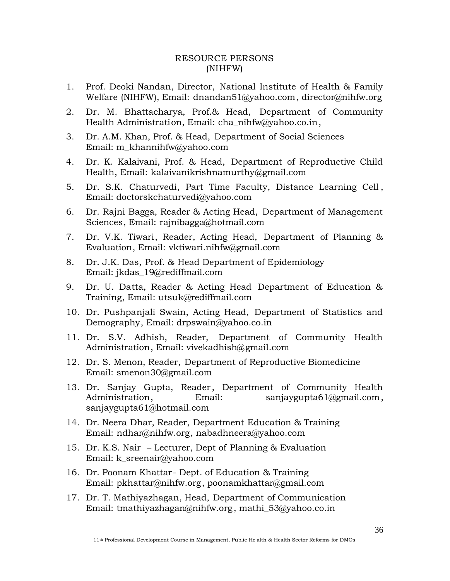#### RESOURCE PERSONS (NIHFW)

- 1. Prof. Deoki Nandan, Director, National Institute of Health & Family Welfare (NIHFW), Email: dnanda[n51@yahoo.com, director](dnandan51@yahoo.com)[@nihfw.org](director@nihfw.org)
- 2. Dr. M. Bhattacharya, Prof.& Head, Department of Community Health Administration, Email: cha\_nihfw@yahoo.c[o.in,](cha_nihfw@yahoo.co.in)
- 3. Dr. A.M. Khan, Prof. & Head, Department of Social Sciences Email: m\_khanni[hfw@yahoo.com](m_khannihfw@yahoo.com)
- 4. Dr. K. Kalaivani, Prof. & Head, Department of Reproductive Child Health, Email: k[alaivanikrishnamurthy@gmail.com](kalaivanikrishnamurthy@gmail.com)
- 5. Dr. S.K. Chaturvedi, Part Time Faculty, Distance Learning Cell , Email: doctorskchaturvedi@yahoo.com
- 6. Dr. Rajni Bagga, Reader & Acting Head, Department of Management Sciences, Email: rajnibag[ga@hotmail.com](rajnibagga@hotmail.com)
- 7. Dr. V.K. Tiwari, Reader, Acting Head, Department of Planning & Evaluation, Email: vktiwari.nihfw@gm[ail.com](nihfw@gmail.com)
- 8. Dr. J.K. Das, Prof. & Head Department of Epidemiology Email: jkdas\_19@rediffmail.com
- 9. Dr. U. Datta, Reader & Acting Head Department of Education & Training, Email: utsuk@[rediffmail.com](utsuk@rediffmail.com)
- 10. Dr. Pushpanjali Swain, Acting Head, Department of Statistics and Demography, Email: drpswain@y[ahoo.co.in](drpswain@yahoo.co.in)
- 11. Dr. S.V. Adhish, Reader, Department of Community Health Administration, Email: vivekadhish@g[mail.com](vivekadhish@gmail.com)
- 12. Dr. S. Menon, Reader, Department of Reproductive Biomedicine Email: smeno[n30@gmail.com](smenon30@gmail.com)
- 13. Dr. Sanjay Gupta, Reader, Department of Community Health Administration, Email: sanjaygupta61[@gmail.com,](sanjaygupta61@gmail.com) sanjaygupta61@hotmail.com
- 14. Dr. Neera Dhar, Reader, Department Education & Training Email: ndhar[@nihfw.org, nabad](ndhar@nihfw.org)[hneera@yahoo.com](nabadhneera@yahoo.com)
- 15. Dr. K.S. Nair Lecturer, Dept of Planning & Evaluation Email: k sreenair@yahoo.com
- 16. Dr. Poonam Khattar- Dept. of Education & Training Email: pkhatt[ar@nihfw.org, poona](pkhattar@nihfw.org)[mkhattar@gmail.com](poonamkhattar@gmail.com)
- 17. Dr. T. Mathiyazhagan, Head, Department of Communication Email: tmathi[yazhagan@nihfw.org,](tmathiyazhagan@nihfw.org) mathi\_[53@yahoo.co.in](mathi_53@yahoo.co.in)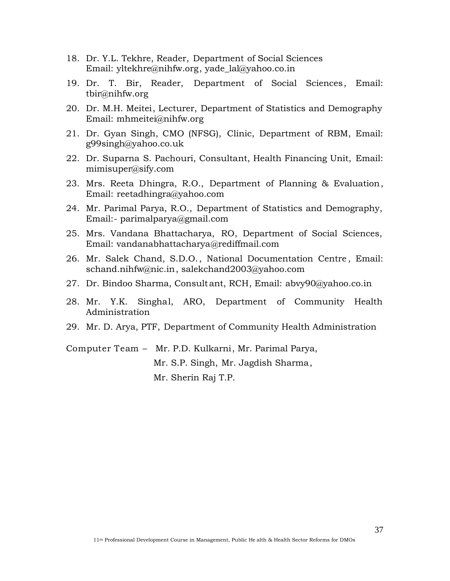- 18. Dr. Y.L. Tekhre, Reader, Department of Social Sciences Email: yltekhr[e@nihfw.org,](yltekhre@nihfw.org) yade\_l[al@yahoo.co.in](yade_lal@yahoo.co.in)
- 19. Dr. T. Bir, Reader, Department of Social Sciences, Email: tbir@nihfw.org
- 20. Dr. M.H. Meitei, Lecturer, Department of Statistics and Demography Email: mhmei[tei@nihfw.org](mhmeitei@nihfw.org)
- 21. Dr. Gyan Singh, CMO (NFSG), Clinic, Department of RBM, Email: g99singh@yahoo.co.uk
- 22. Dr. Suparna S. Pachouri, Consultant, Health Financing Unit, Email: mimisuper@sify.com
- 23. Mrs. Reeta Dhingra, R.O., Department of Planning & Evaluation, Email: reetad[hingra@yahoo.com](reetadhingra@yahoo.com)
- 24. Mr. Parimal Parya, R.O., Department of Statistics and Demography, Email:- [parim](Email:-)[alparya@gmail.com](parimalparya@gmail.com)
- 25. Mrs. Vandana Bhattacharya, RO, Department of Social Sciences, Email: vanda[nabhattacharya@rediffmail.com](vandanabhattacharya@rediffmail.com)
- 26. Mr. Salek Chand, S.D.O., National Documentation Centre , Email: schand.nihfw@nic.in, salekc[hand2003@ya](nihfw@nic.in)[hoo.com](salekchand2003@yahoo.com)
- 27. Dr. Bindoo Sharma, Consultant, RCH, Email: ab[vy90@yahoo.co.in](abvy90@yahoo.co.in)
- 28. Mr. Y.K. Singhal, ARO, Department of Community Health Administration
- 29. Mr. D. Arya, PTF, Department of Community Health Administration

Computer Team – Mr. P.D. Kulkarni, Mr. Parimal Parya, Mr. S.P. Singh, Mr. Jagdish Sharma, Mr. Sherin Raj T.P.